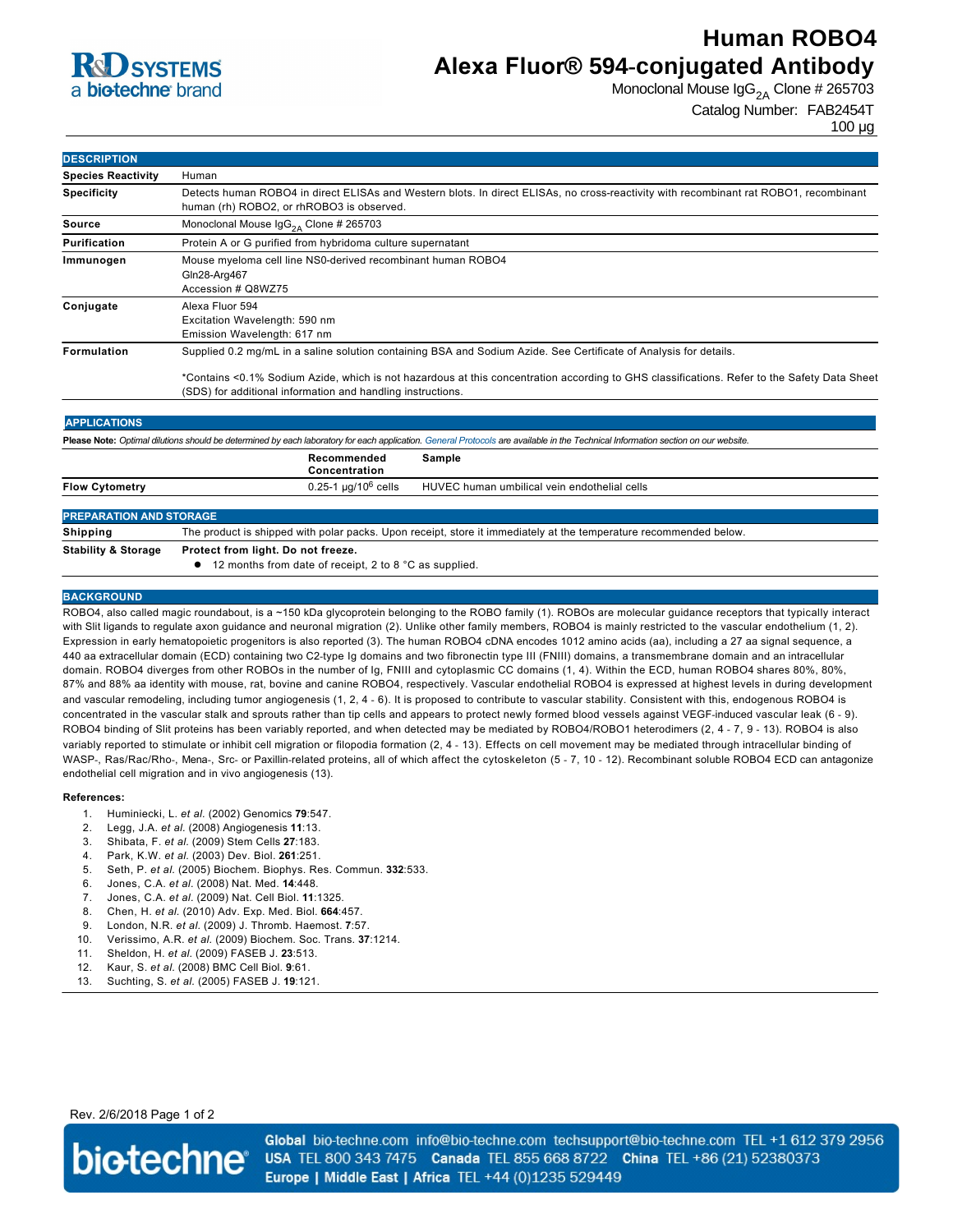

## **Human ROBO4 Alexa Fluor® 594-conjugated Antibody**

Monoclonal Mouse  $\lg G_{2A}$  Clone # 265703

Catalog Number: FAB2454T

100 µg

| <b>DESCRIPTION</b>             |                                                                                                                                                                                                                                                                                                                                 |
|--------------------------------|---------------------------------------------------------------------------------------------------------------------------------------------------------------------------------------------------------------------------------------------------------------------------------------------------------------------------------|
| <b>Species Reactivity</b>      | Human                                                                                                                                                                                                                                                                                                                           |
| <b>Specificity</b>             | Detects human ROBO4 in direct ELISAs and Western blots. In direct ELISAs, no cross-reactivity with recombinant rat ROBO1, recombinant<br>human (rh) ROBO2, or rhROBO3 is observed.                                                                                                                                              |
| <b>Source</b>                  | Monoclonal Mouse $\lg G_{2A}$ Clone # 265703                                                                                                                                                                                                                                                                                    |
| Purification                   | Protein A or G purified from hybridoma culture supernatant                                                                                                                                                                                                                                                                      |
| Immunogen                      | Mouse myeloma cell line NS0-derived recombinant human ROBO4<br>Gln28-Arg467<br>Accession # Q8WZ75                                                                                                                                                                                                                               |
| Conjugate                      | Alexa Fluor 594<br>Excitation Wavelength: 590 nm<br>Emission Wavelength: 617 nm                                                                                                                                                                                                                                                 |
| Formulation                    | Supplied 0.2 mg/mL in a saline solution containing BSA and Sodium Azide. See Certificate of Analysis for details.<br>*Contains <0.1% Sodium Azide, which is not hazardous at this concentration according to GHS classifications. Refer to the Safety Data Sheet<br>(SDS) for additional information and handling instructions. |
| <b>APPLICATIONS</b>            |                                                                                                                                                                                                                                                                                                                                 |
|                                | Please Note: Optimal dilutions should be determined by each laboratory for each application. General Protocols are available in the Technical Information section on our website.                                                                                                                                               |
|                                | Recommended<br>Sample<br>Concentration                                                                                                                                                                                                                                                                                          |
| <b>Flow Cytometry</b>          | $0.25 - 1$ µg/10 <sup>6</sup> cells<br>HUVEC human umbilical vein endothelial cells                                                                                                                                                                                                                                             |
| <b>PREPARATION AND STORAGE</b> |                                                                                                                                                                                                                                                                                                                                 |
| Shipping                       | The product is shipped with polar packs. Upon receipt, store it immediately at the temperature recommended below.                                                                                                                                                                                                               |
| <b>Stability &amp; Storage</b> | Protect from light. Do not freeze.                                                                                                                                                                                                                                                                                              |
|                                | 12 months from date of receipt, 2 to 8 °C as supplied.                                                                                                                                                                                                                                                                          |

#### **BACKGROUND**

ROBO4, also called magic roundabout, is a ~150 kDa glycoprotein belonging to the ROBO family (1). ROBOs are molecular guidance receptors that typically interact with Slit ligands to regulate axon guidance and neuronal migration (2). Unlike other family members, ROBO4 is mainly restricted to the vascular endothelium (1, 2). Expression in early hematopoietic progenitors is also reported (3). The human ROBO4 cDNA encodes 1012 amino acids (aa), including a 27 aa signal sequence, a 440 aa extracellular domain (ECD) containing two C2type Ig domains and two fibronectin type III (FNIII) domains, a transmembrane domain and an intracellular domain. ROBO4 diverges from other ROBOs in the number of Ig, FNIII and cytoplasmic CC domains (1, 4). Within the ECD, human ROBO4 shares 80%, 80%, 87% and 88% aa identity with mouse, rat, bovine and canine ROBO4, respectively. Vascular endothelial ROBO4 is expressed at highest levels in during development and vascular remodeling, including tumor angiogenesis (1, 2, 4 6). It is proposed to contribute to vascular stability. Consistent with this, endogenous ROBO4 is concentrated in the vascular stalk and sprouts rather than tip cells and appears to protect newly formed blood vessels against VEGF-induced vascular leak (6 - 9). ROBO4 binding of Slit proteins has been variably reported, and when detected may be mediated by ROBO4/ROBO1 heterodimers (2, 4 - 7, 9 - 13). ROBO4 is also variably reported to stimulate or inhibit cell migration or filopodia formation (2, 4 - 13). Effects on cell movement may be mediated through intracellular binding of WASP-, Ras/Rac/Rho-, Mena-, Src- or Paxillin-related proteins, all of which affect the cytoskeleton (5 - 7, 10 - 12). Recombinant soluble ROBO4 ECD can antagonize endothelial cell migration and in vivo angiogenesis (13).

#### **References:**

- 1. Huminiecki, L. *et al.* (2002) Genomics **79**:547.
- 2. Legg, J.A. *et al.* (2008) Angiogenesis **11**:13.
- 3. Shibata, F. *et al.* (2009) Stem Cells **27**:183.
- 4. Park, K.W. *et al.* (2003) Dev. Biol. **261**:251.
- 5. Seth, P. *et al.* (2005) Biochem. Biophys. Res. Commun. **332**:533.
- 6. Jones, C.A. *et al.* (2008) Nat. Med. **14**:448.
- 7. Jones, C.A. *et al.* (2009) Nat. Cell Biol. **11**:1325.
- 8. Chen, H. *et al.* (2010) Adv. Exp. Med. Biol. **664**:457.
- 9. London, N.R. *et al.* (2009) J. Thromb. Haemost. **7**:57.
- 10. Verissimo, A.R. *et al.* (2009) Biochem. Soc. Trans. **37**:1214.
- 11. Sheldon, H. *et al.* (2009) FASEB J. **23**:513.
- 12. Kaur, S. *et al.* (2008) BMC Cell Biol. **9**:61.
- 13. Suchting, S. *et al.* (2005) FASEB J. **19**:121.

Rev. 2/6/2018 Page 1 of 2



Global bio-techne.com info@bio-techne.com techsupport@bio-techne.com TEL +1 612 379 2956 USA TEL 800 343 7475 Canada TEL 855 668 8722 China TEL +86 (21) 52380373 Europe | Middle East | Africa TEL +44 (0)1235 529449